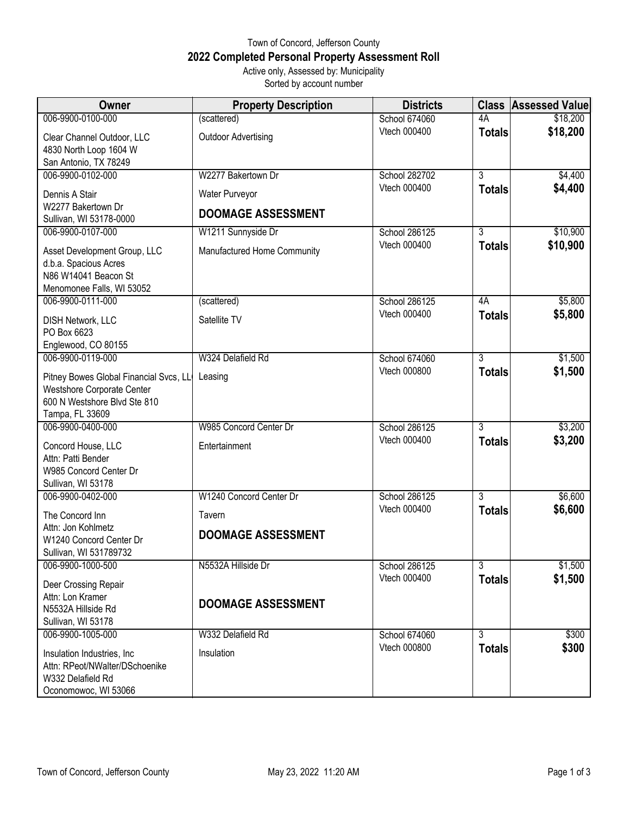## Town of Concord, Jefferson County **2022 Completed Personal Property Assessment Roll** Active only, Assessed by: Municipality

Sorted by account number

| Owner                                               | <b>Property Description</b> | <b>Districts</b>              |                                 | <b>Class Assessed Value</b> |
|-----------------------------------------------------|-----------------------------|-------------------------------|---------------------------------|-----------------------------|
| 006-9900-0100-000                                   | (scattered)                 | School 674060                 | 4A                              | \$18,200                    |
| Clear Channel Outdoor, LLC                          | <b>Outdoor Advertising</b>  | Vtech 000400                  | <b>Totals</b>                   | \$18,200                    |
| 4830 North Loop 1604 W                              |                             |                               |                                 |                             |
| San Antonio, TX 78249                               |                             |                               |                                 |                             |
| 006-9900-0102-000                                   | W2277 Bakertown Dr          | School 282702                 | 3                               | \$4,400                     |
| Dennis A Stair                                      | Water Purveyor              | Vtech 000400                  | <b>Totals</b>                   | \$4,400                     |
| W2277 Bakertown Dr                                  | <b>DOOMAGE ASSESSMENT</b>   |                               |                                 |                             |
| Sullivan, WI 53178-0000                             |                             |                               |                                 |                             |
| 006-9900-0107-000                                   | W1211 Sunnyside Dr          | School 286125<br>Vtech 000400 | $\overline{3}$<br><b>Totals</b> | \$10,900<br>\$10,900        |
| Asset Development Group, LLC                        | Manufactured Home Community |                               |                                 |                             |
| d.b.a. Spacious Acres<br>N86 W14041 Beacon St       |                             |                               |                                 |                             |
| Menomonee Falls, WI 53052                           |                             |                               |                                 |                             |
| 006-9900-0111-000                                   | (scattered)                 | School 286125                 | 4A                              | \$5,800                     |
| <b>DISH Network, LLC</b>                            | Satellite TV                | Vtech 000400                  | <b>Totals</b>                   | \$5,800                     |
| PO Box 6623                                         |                             |                               |                                 |                             |
| Englewood, CO 80155                                 |                             |                               |                                 |                             |
| 006-9900-0119-000                                   | W324 Delafield Rd           | School 674060                 | $\overline{3}$                  | \$1,500                     |
| Pitney Bowes Global Financial Svcs, LL              | Leasing                     | <b>Vtech 000800</b>           | <b>Totals</b>                   | \$1,500                     |
| Westshore Corporate Center                          |                             |                               |                                 |                             |
| 600 N Westshore Blvd Ste 810                        |                             |                               |                                 |                             |
| Tampa, FL 33609                                     |                             |                               |                                 |                             |
| 006-9900-0400-000                                   | W985 Concord Center Dr      | School 286125<br>Vtech 000400 | 3                               | \$3,200<br>\$3,200          |
| Concord House, LLC                                  | Entertainment               |                               | <b>Totals</b>                   |                             |
| Attn: Patti Bender                                  |                             |                               |                                 |                             |
| W985 Concord Center Dr<br>Sullivan, WI 53178        |                             |                               |                                 |                             |
| 006-9900-0402-000                                   | W1240 Concord Center Dr     | School 286125                 | 3                               | \$6,600                     |
| The Concord Inn                                     | Tavern                      | Vtech 000400                  | <b>Totals</b>                   | \$6,600                     |
| Attn: Jon Kohlmetz                                  |                             |                               |                                 |                             |
| W1240 Concord Center Dr                             | <b>DOOMAGE ASSESSMENT</b>   |                               |                                 |                             |
| Sullivan, WI 531789732                              |                             |                               |                                 |                             |
| 006-9900-1000-500                                   | N5532A Hillside Dr          | School 286125                 | $\overline{3}$                  | \$1,500                     |
| Deer Crossing Repair                                |                             | Vtech 000400                  | <b>Totals</b>                   | \$1,500                     |
| Attn: Lon Kramer                                    | <b>DOOMAGE ASSESSMENT</b>   |                               |                                 |                             |
| N5532A Hillside Rd                                  |                             |                               |                                 |                             |
| Sullivan, WI 53178<br>006-9900-1005-000             | W332 Delafield Rd           | School 674060                 | 3                               | \$300                       |
|                                                     |                             | Vtech 000800                  | <b>Totals</b>                   | \$300                       |
| Insulation Industries, Inc                          | Insulation                  |                               |                                 |                             |
| Attn: RPeot/NWalter/DSchoenike<br>W332 Delafield Rd |                             |                               |                                 |                             |
| Oconomowoc, WI 53066                                |                             |                               |                                 |                             |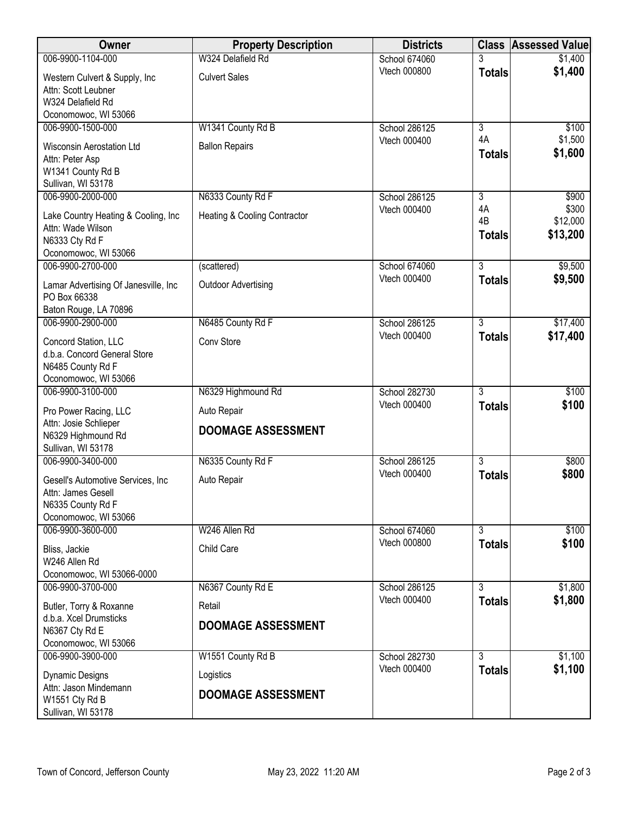| <b>Owner</b>                                         | <b>Property Description</b>             | <b>Districts</b> |                | <b>Class Assessed Value</b> |
|------------------------------------------------------|-----------------------------------------|------------------|----------------|-----------------------------|
| 006-9900-1104-000                                    | W324 Delafield Rd                       | School 674060    |                | \$1,400                     |
| Western Culvert & Supply, Inc                        | <b>Culvert Sales</b>                    | Vtech 000800     | <b>Totals</b>  | \$1,400                     |
| Attn: Scott Leubner                                  |                                         |                  |                |                             |
| W324 Delafield Rd                                    |                                         |                  |                |                             |
| Oconomowoc, WI 53066                                 |                                         |                  |                |                             |
| 006-9900-1500-000                                    | W1341 County Rd B                       | School 286125    | $\overline{3}$ | \$100                       |
| <b>Wisconsin Aerostation Ltd</b>                     | <b>Ballon Repairs</b>                   | Vtech 000400     | 4A             | \$1,500                     |
| Attn: Peter Asp                                      |                                         |                  | <b>Totals</b>  | \$1,600                     |
| W1341 County Rd B                                    |                                         |                  |                |                             |
| Sullivan, WI 53178                                   |                                         |                  |                |                             |
| 006-9900-2000-000                                    | N6333 County Rd F                       | School 286125    | $\overline{3}$ | \$900                       |
| Lake Country Heating & Cooling, Inc                  | <b>Heating &amp; Cooling Contractor</b> | Vtech 000400     | 4A             | \$300                       |
| Attn: Wade Wilson                                    |                                         |                  | 4B             | \$12,000                    |
| N6333 Cty Rd F                                       |                                         |                  | <b>Totals</b>  | \$13,200                    |
| Oconomowoc, WI 53066                                 |                                         |                  |                |                             |
| 006-9900-2700-000                                    | (scattered)                             | School 674060    | 3              | \$9,500                     |
| Lamar Advertising Of Janesville, Inc                 | <b>Outdoor Advertising</b>              | Vtech 000400     | <b>Totals</b>  | \$9,500                     |
| PO Box 66338                                         |                                         |                  |                |                             |
| Baton Rouge, LA 70896                                |                                         |                  |                |                             |
| 006-9900-2900-000                                    | N6485 County Rd F                       | School 286125    | $\overline{3}$ | \$17,400                    |
|                                                      | Conv Store                              | Vtech 000400     | <b>Totals</b>  | \$17,400                    |
| Concord Station, LLC<br>d.b.a. Concord General Store |                                         |                  |                |                             |
| N6485 County Rd F                                    |                                         |                  |                |                             |
| Oconomowoc, WI 53066                                 |                                         |                  |                |                             |
| 006-9900-3100-000                                    | N6329 Highmound Rd                      | School 282730    | $\overline{3}$ | \$100                       |
| Pro Power Racing, LLC                                | Auto Repair                             | Vtech 000400     | <b>Totals</b>  | \$100                       |
| Attn: Josie Schlieper                                |                                         |                  |                |                             |
| N6329 Highmound Rd                                   | <b>DOOMAGE ASSESSMENT</b>               |                  |                |                             |
| Sullivan, WI 53178                                   |                                         |                  |                |                             |
| 006-9900-3400-000                                    | N6335 County Rd F                       | School 286125    | $\overline{3}$ | \$800                       |
| Gesell's Automotive Services, Inc.                   | Auto Repair                             | Vtech 000400     | <b>Totals</b>  | \$800                       |
| Attn: James Gesell                                   |                                         |                  |                |                             |
| N6335 County Rd F                                    |                                         |                  |                |                             |
| Oconomowoc, WI 53066                                 |                                         |                  |                |                             |
| 006-9900-3600-000                                    | W246 Allen Rd                           | School 674060    | $\overline{3}$ | \$100                       |
| Bliss, Jackie                                        | Child Care                              | Vtech 000800     | <b>Totals</b>  | \$100                       |
| W246 Allen Rd                                        |                                         |                  |                |                             |
| Oconomowoc, WI 53066-0000                            |                                         |                  |                |                             |
| 006-9900-3700-000                                    | N6367 County Rd E                       | School 286125    | 3              | \$1,800                     |
| Butler, Torry & Roxanne                              | Retail                                  | Vtech 000400     | <b>Totals</b>  | \$1,800                     |
| d.b.a. Xcel Drumsticks                               |                                         |                  |                |                             |
| N6367 Cty Rd E                                       | <b>DOOMAGE ASSESSMENT</b>               |                  |                |                             |
| Oconomowoc, WI 53066                                 |                                         |                  |                |                             |
| 006-9900-3900-000                                    | W1551 County Rd B                       | School 282730    | 3              | \$1,100                     |
| <b>Dynamic Designs</b>                               | Logistics                               | Vtech 000400     | <b>Totals</b>  | \$1,100                     |
| Attn: Jason Mindemann                                |                                         |                  |                |                             |
| W1551 Cty Rd B                                       | <b>DOOMAGE ASSESSMENT</b>               |                  |                |                             |
| Sullivan, WI 53178                                   |                                         |                  |                |                             |